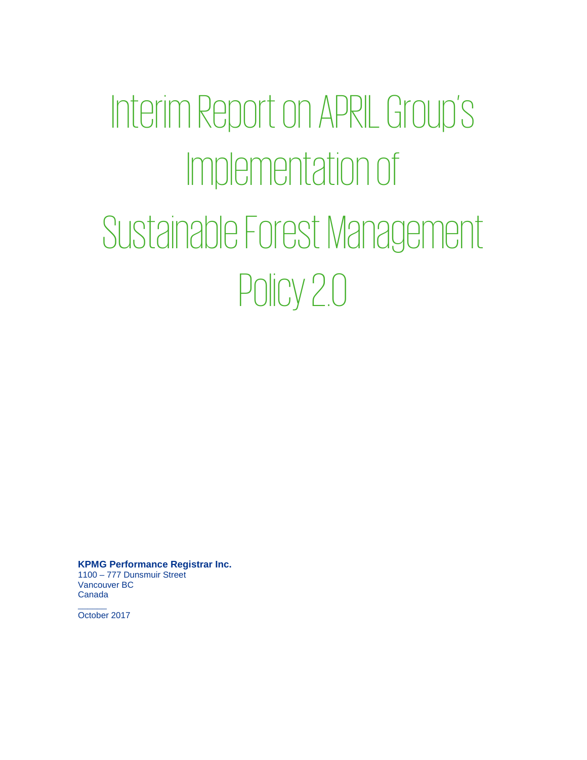# Interim Report on APRIL Group's Implementation of Sustainable Forest Management Policy 2.0

**KPMG Performance Registrar Inc.**

1100 – 777 Dunsmuir Street Vancouver BC Canada  $\overline{\phantom{a}}$ 

October 2017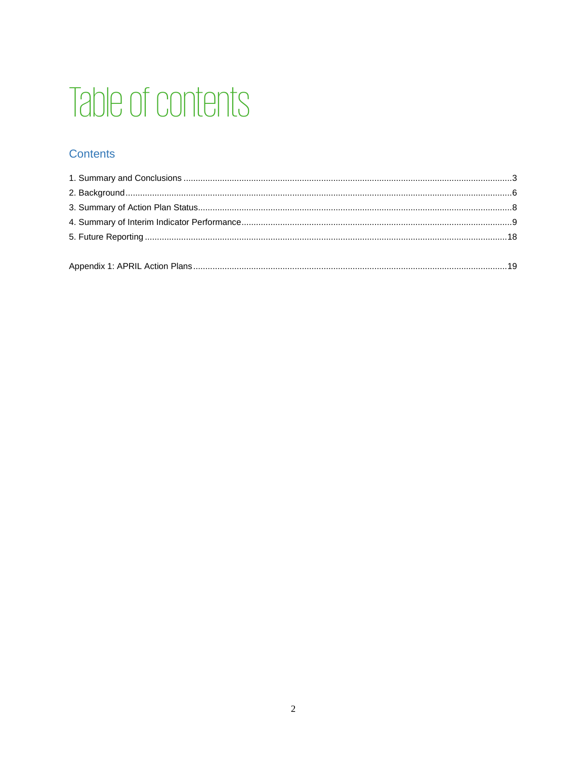# Table of contents

# **Contents**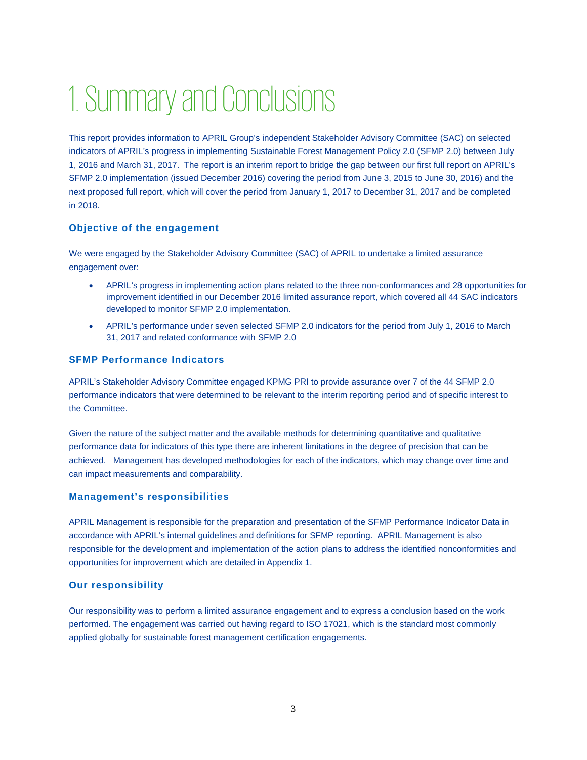# <span id="page-2-0"></span>1.Summary and Conclusions

This report provides information to APRIL Group's independent Stakeholder Advisory Committee (SAC) on selected indicators of APRIL's progress in implementing Sustainable Forest Management Policy 2.0 (SFMP 2.0) between July 1, 2016 and March 31, 2017. The report is an interim report to bridge the gap between our first full report on APRIL's SFMP 2.0 implementation (issued December 2016) covering the period from June 3, 2015 to June 30, 2016) and the next proposed full report, which will cover the period from January 1, 2017 to December 31, 2017 and be completed in 2018.

# **Objective of the engagement**

We were engaged by the Stakeholder Advisory Committee (SAC) of APRIL to undertake a limited assurance engagement over:

- APRIL's progress in implementing action plans related to the three non-conformances and 28 opportunities for improvement identified in our December 2016 limited assurance report, which covered all 44 SAC indicators developed to monitor SFMP 2.0 implementation.
- APRIL's performance under seven selected SFMP 2.0 indicators for the period from July 1, 2016 to March 31, 2017 and related conformance with SFMP 2.0

# **SFMP Performance Indicators**

APRIL's Stakeholder Advisory Committee engaged KPMG PRI to provide assurance over 7 of the 44 SFMP 2.0 performance indicators that were determined to be relevant to the interim reporting period and of specific interest to the Committee.

Given the nature of the subject matter and the available methods for determining quantitative and qualitative performance data for indicators of this type there are inherent limitations in the degree of precision that can be achieved. Management has developed methodologies for each of the indicators, which may change over time and can impact measurements and comparability.

# **Management's responsibilities**

APRIL Management is responsible for the preparation and presentation of the SFMP Performance Indicator Data in accordance with APRIL's internal guidelines and definitions for SFMP reporting. APRIL Management is also responsible for the development and implementation of the action plans to address the identified nonconformities and opportunities for improvement which are detailed in Appendix 1.

# **Our responsibility**

Our responsibility was to perform a limited assurance engagement and to express a conclusion based on the work performed. The engagement was carried out having regard to ISO 17021, which is the standard most commonly applied globally for sustainable forest management certification engagements.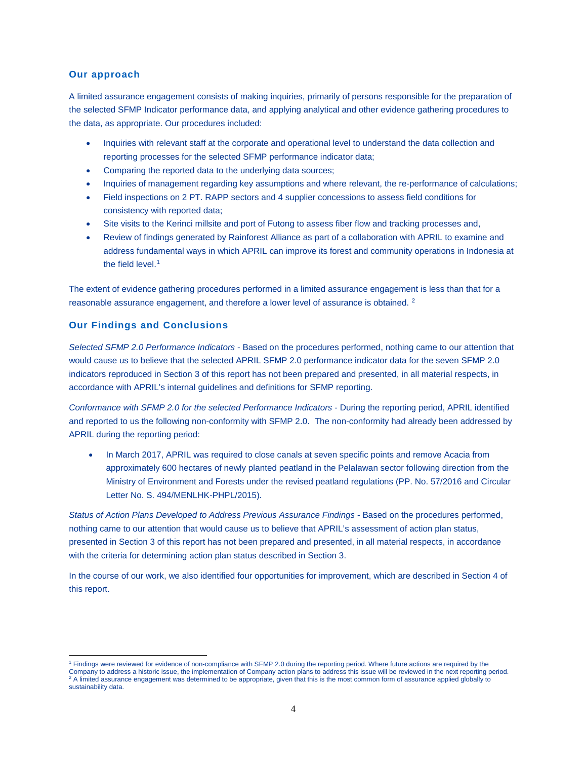# **Our approach**

A limited assurance engagement consists of making inquiries, primarily of persons responsible for the preparation of the selected SFMP Indicator performance data, and applying analytical and other evidence gathering procedures to the data, as appropriate. Our procedures included:

- Inquiries with relevant staff at the corporate and operational level to understand the data collection and reporting processes for the selected SFMP performance indicator data;
- Comparing the reported data to the underlying data sources;
- Inquiries of management regarding key assumptions and where relevant, the re-performance of calculations;
- Field inspections on 2 PT. RAPP sectors and 4 supplier concessions to assess field conditions for consistency with reported data;
- Site visits to the Kerinci millsite and port of Futong to assess fiber flow and tracking processes and,
- Review of findings generated by Rainforest Alliance as part of a collaboration with APRIL to examine and address fundamental ways in which APRIL can improve its forest and community operations in Indonesia at the field level. [1](#page-3-0)

The extent of evidence gathering procedures performed in a limited assurance engagement is less than that for a reasonable assurance engagement, and therefore a lower level of assurance is obtained. [2](#page-3-1)

# **Our Findings and Conclusions**

 $\overline{a}$ 

*Selected SFMP 2.0 Performance Indicators* - Based on the procedures performed, nothing came to our attention that would cause us to believe that the selected APRIL SFMP 2.0 performance indicator data for the seven SFMP 2.0 indicators reproduced in Section 3 of this report has not been prepared and presented, in all material respects, in accordance with APRIL's internal guidelines and definitions for SFMP reporting.

*Conformance with SFMP 2.0 for the selected Performance Indicators* - During the reporting period, APRIL identified and reported to us the following non-conformity with SFMP 2.0. The non-conformity had already been addressed by APRIL during the reporting period:

• In March 2017, APRIL was required to close canals at seven specific points and remove Acacia from approximately 600 hectares of newly planted peatland in the Pelalawan sector following direction from the Ministry of Environment and Forests under the revised peatland regulations (PP. No. 57/2016 and Circular Letter No. S. 494/MENLHK-PHPL/2015).

*Status of Action Plans Developed to Address Previous Assurance Findings* - Based on the procedures performed, nothing came to our attention that would cause us to believe that APRIL's assessment of action plan status, presented in Section 3 of this report has not been prepared and presented, in all material respects, in accordance with the criteria for determining action plan status described in Section 3.

In the course of our work, we also identified four opportunities for improvement, which are described in Section 4 of this report.

<span id="page-3-1"></span><span id="page-3-0"></span><sup>&</sup>lt;sup>1</sup> Findings were reviewed for evidence of non-compliance with SFMP 2.0 during the reporting period. Where future actions are required by the Company to address a historic issue, the implementation of Company action plans to address this issue will be reviewed in the next reporting period. <sup>2</sup> A limited assurance engagement was determined to be appropriate, given that this is the most common form of assurance applied globally to sustainability data.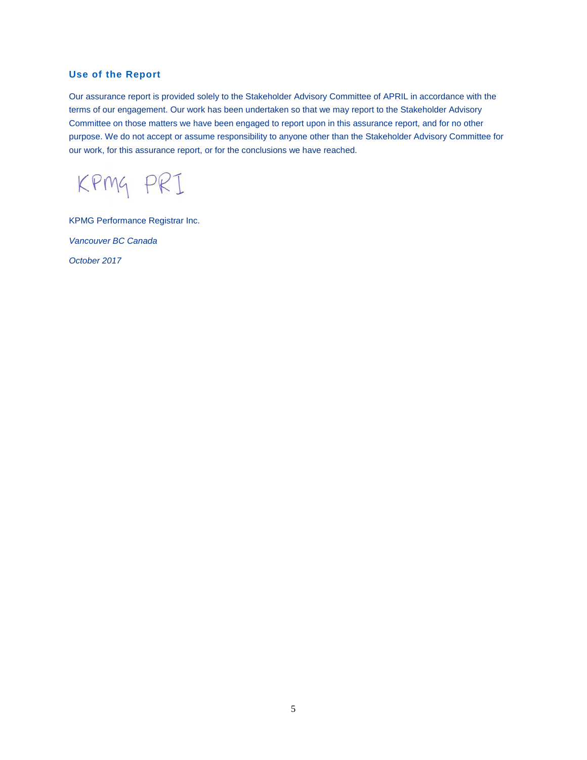# **Use of the Report**

Our assurance report is provided solely to the Stakeholder Advisory Committee of APRIL in accordance with the terms of our engagement. Our work has been undertaken so that we may report to the Stakeholder Advisory Committee on those matters we have been engaged to report upon in this assurance report, and for no other purpose. We do not accept or assume responsibility to anyone other than the Stakeholder Advisory Committee for our work, for this assurance report, or for the conclusions we have reached.

KPMG PRI

KPMG Performance Registrar Inc. *Vancouver BC Canada October 2017*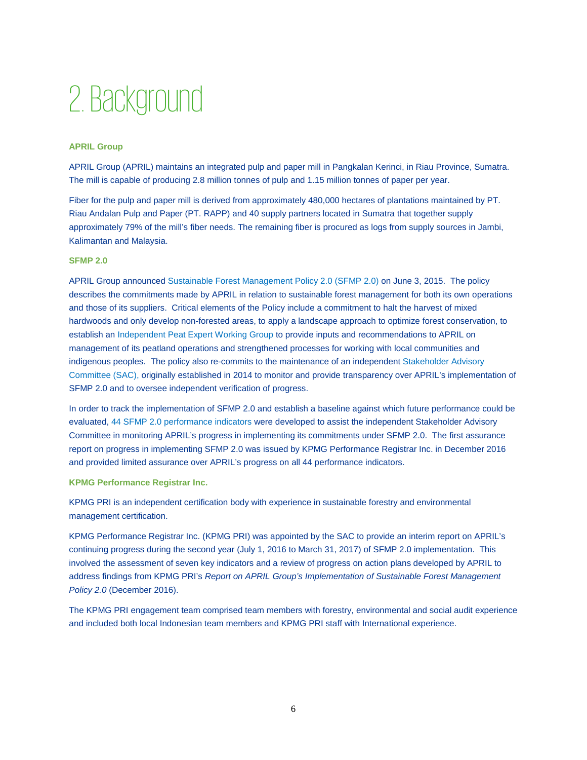# <span id="page-5-0"></span>2.Background

#### **APRIL Group**

APRIL Group (APRIL) maintains an integrated pulp and paper mill in Pangkalan Kerinci, in Riau Province, Sumatra. The mill is capable of producing 2.8 million tonnes of pulp and 1.15 million tonnes of paper per year.

Fiber for the pulp and paper mill is derived from approximately 480,000 hectares of plantations maintained by PT. Riau Andalan Pulp and Paper (PT. RAPP) and 40 supply partners located in Sumatra that together supply approximately 79% of the mill's fiber needs. The remaining fiber is procured as logs from supply sources in Jambi, Kalimantan and Malaysia.

#### **SFMP 2.0**

APRIL Group announced Sustainable Forest Management Policy 2.0 (SFMP 2.0) on June 3, 2015. The policy describes the commitments made by APRIL in relation to sustainable forest management for both its own operations and those of its suppliers. Critical elements of the Policy include a commitment to halt the harvest of mixed hardwoods and only develop non-forested areas, to apply a landscape approach to optimize forest conservation, to establish an Independent Peat Expert Working Group to provide inputs and recommendations to APRIL on management of its peatland operations and strengthened processes for working with local communities and indigenous peoples. The policy also re-commits to the maintenance of an independent Stakeholder Advisory Committee (SAC), originally established in 2014 to monitor and provide transparency over APRIL's implementation of SFMP 2.0 and to oversee independent verification of progress.

In order to track the implementation of SFMP 2.0 and establish a baseline against which future performance could be evaluated, 44 SFMP 2.0 performance indicators were developed to assist the independent Stakeholder Advisory Committee in monitoring APRIL's progress in implementing its commitments under SFMP 2.0. The first assurance report on progress in implementing SFMP 2.0 was issued by KPMG Performance Registrar Inc. in December 2016 and provided limited assurance over APRIL's progress on all 44 performance indicators.

**KPMG Performance Registrar Inc.** 

KPMG PRI is an independent certification body with experience in sustainable forestry and environmental management certification.

KPMG Performance Registrar Inc. (KPMG PRI) was appointed by the SAC to provide an interim report on APRIL's continuing progress during the second year (July 1, 2016 to March 31, 2017) of SFMP 2.0 implementation. This involved the assessment of seven key indicators and a review of progress on action plans developed by APRIL to address findings from KPMG PRI's *Report on APRIL Group's Implementation of Sustainable Forest Management Policy 2.0* (December 2016).

The KPMG PRI engagement team comprised team members with forestry, environmental and social audit experience and included both local Indonesian team members and KPMG PRI staff with International experience.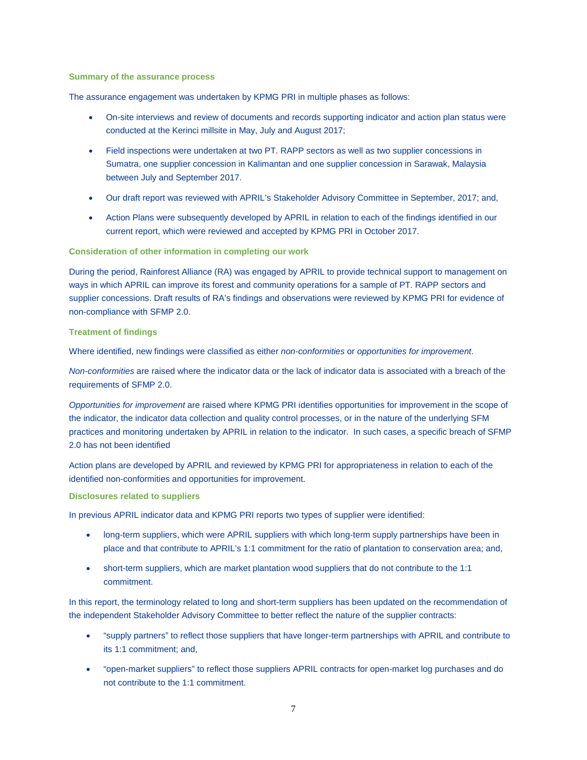#### **Summary of the assurance process**

The assurance engagement was undertaken by KPMG PRI in multiple phases as follows:

- On-site interviews and review of documents and records supporting indicator and action plan status were conducted at the Kerinci millsite in May, July and August 2017;
- Field inspections were undertaken at two PT. RAPP sectors as well as two supplier concessions in Sumatra, one supplier concession in Kalimantan and one supplier concession in Sarawak, Malaysia between July and September 2017.
- Our draft report was reviewed with APRIL's Stakeholder Advisory Committee in September, 2017; and,
- Action Plans were subsequently developed by APRIL in relation to each of the findings identified in our current report, which were reviewed and accepted by KPMG PRI in October 2017.

#### **Consideration of other information in completing our work**

During the period, Rainforest Alliance (RA) was engaged by APRIL to provide technical support to management on ways in which APRIL can improve its forest and community operations for a sample of PT. RAPP sectors and supplier concessions. Draft results of RA's findings and observations were reviewed by KPMG PRI for evidence of non-compliance with SFMP 2.0.

#### **Treatment of findings**

Where identified, new findings were classified as either *non-conformities* or *opportunities for improvement*.

*Non-conformities* are raised where the indicator data or the lack of indicator data is associated with a breach of the requirements of SFMP 2.0.

*Opportunities for improvement* are raised where KPMG PRI identifies opportunities for improvement in the scope of the indicator, the indicator data collection and quality control processes, or in the nature of the underlying SFM practices and monitoring undertaken by APRIL in relation to the indicator. In such cases, a specific breach of SFMP 2.0 has not been identified

Action plans are developed by APRIL and reviewed by KPMG PRI for appropriateness in relation to each of the identified non-conformities and opportunities for improvement.

#### **Disclosures related to suppliers**

In previous APRIL indicator data and KPMG PRI reports two types of supplier were identified:

- long-term suppliers, which were APRIL suppliers with which long-term supply partnerships have been in place and that contribute to APRIL's 1:1 commitment for the ratio of plantation to conservation area; and,
- short-term suppliers, which are market plantation wood suppliers that do not contribute to the 1:1 commitment.

In this report, the terminology related to long and short-term suppliers has been updated on the recommendation of the independent Stakeholder Advisory Committee to better reflect the nature of the supplier contracts:

- "supply partners" to reflect those suppliers that have longer-term partnerships with APRIL and contribute to its 1:1 commitment; and,
- "open-market suppliers" to reflect those suppliers APRIL contracts for open-market log purchases and do not contribute to the 1:1 commitment.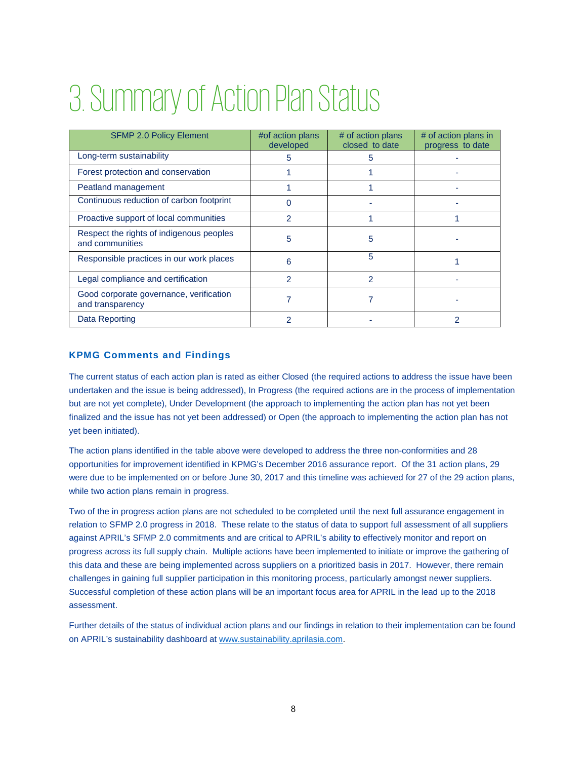# <span id="page-7-0"></span>3. Summary of Action Plan Status

| <b>SFMP 2.0 Policy Element</b>                              | #of action plans<br>developed | # of action plans<br>closed to date | # of action plans in<br>progress to date |
|-------------------------------------------------------------|-------------------------------|-------------------------------------|------------------------------------------|
| Long-term sustainability                                    | 5                             | 5                                   |                                          |
| Forest protection and conservation                          |                               |                                     |                                          |
| Peatland management                                         |                               |                                     |                                          |
| Continuous reduction of carbon footprint                    |                               |                                     |                                          |
| Proactive support of local communities                      |                               |                                     |                                          |
| Respect the rights of indigenous peoples<br>and communities | 5                             | 5                                   |                                          |
| Responsible practices in our work places                    | 6                             | 5                                   |                                          |
| Legal compliance and certification                          | 2                             | 2                                   |                                          |
| Good corporate governance, verification<br>and transparency |                               |                                     |                                          |
| <b>Data Reporting</b>                                       |                               |                                     |                                          |

# **KPMG Comments and Findings**

The current status of each action plan is rated as either Closed (the required actions to address the issue have been undertaken and the issue is being addressed), In Progress (the required actions are in the process of implementation but are not yet complete), Under Development (the approach to implementing the action plan has not yet been finalized and the issue has not yet been addressed) or Open (the approach to implementing the action plan has not yet been initiated).

The action plans identified in the table above were developed to address the three non-conformities and 28 opportunities for improvement identified in KPMG's December 2016 assurance report. Of the 31 action plans, 29 were due to be implemented on or before June 30, 2017 and this timeline was achieved for 27 of the 29 action plans, while two action plans remain in progress.

Two of the in progress action plans are not scheduled to be completed until the next full assurance engagement in relation to SFMP 2.0 progress in 2018. These relate to the status of data to support full assessment of all suppliers against APRIL's SFMP 2.0 commitments and are critical to APRIL's ability to effectively monitor and report on progress across its full supply chain. Multiple actions have been implemented to initiate or improve the gathering of this data and these are being implemented across suppliers on a prioritized basis in 2017. However, there remain challenges in gaining full supplier participation in this monitoring process, particularly amongst newer suppliers. Successful completion of these action plans will be an important focus area for APRIL in the lead up to the 2018 assessment.

Further details of the status of individual action plans and our findings in relation to their implementation can be found on APRIL's sustainability dashboard a[t www.sustainability.aprilasia.com.](http://www.sustainability.aprilasia.com/)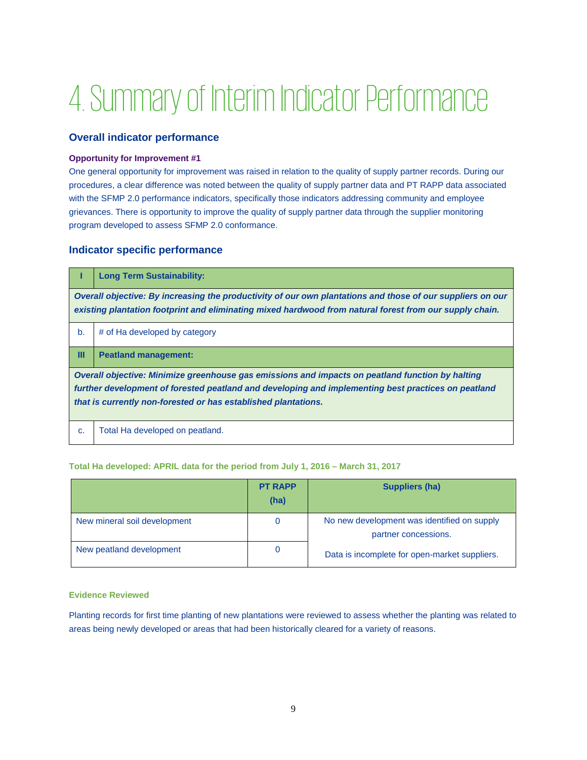# <span id="page-8-0"></span>4. Summary of Interim Indicator Performance

# **Overall indicator performance**

# **Opportunity for Improvement #1**

One general opportunity for improvement was raised in relation to the quality of supply partner records. During our procedures, a clear difference was noted between the quality of supply partner data and PT RAPP data associated with the SFMP 2.0 performance indicators, specifically those indicators addressing community and employee grievances. There is opportunity to improve the quality of supply partner data through the supplier monitoring program developed to assess SFMP 2.0 conformance.

# **Indicator specific performance**

|    | <b>Long Term Sustainability:</b>                                                                                                                                                                                                                                          |  |  |  |  |
|----|---------------------------------------------------------------------------------------------------------------------------------------------------------------------------------------------------------------------------------------------------------------------------|--|--|--|--|
|    | Overall objective: By increasing the productivity of our own plantations and those of our suppliers on our<br>existing plantation footprint and eliminating mixed hardwood from natural forest from our supply chain.                                                     |  |  |  |  |
| b. | # of Ha developed by category                                                                                                                                                                                                                                             |  |  |  |  |
| Ш  | <b>Peatland management:</b>                                                                                                                                                                                                                                               |  |  |  |  |
|    | Overall objective: Minimize greenhouse gas emissions and impacts on peatland function by halting<br>further development of forested peatland and developing and implementing best practices on peatland<br>that is currently non-forested or has established plantations. |  |  |  |  |
| C. | Total Ha developed on peatland.                                                                                                                                                                                                                                           |  |  |  |  |

# **Total Ha developed: APRIL data for the period from July 1, 2016 – March 31, 2017**

|                              | <b>PT RAPP</b><br>(ha) | Suppliers (ha)                                                      |
|------------------------------|------------------------|---------------------------------------------------------------------|
| New mineral soil development |                        | No new development was identified on supply<br>partner concessions. |
| New peatland development     |                        | Data is incomplete for open-market suppliers.                       |

# **Evidence Reviewed**

Planting records for first time planting of new plantations were reviewed to assess whether the planting was related to areas being newly developed or areas that had been historically cleared for a variety of reasons.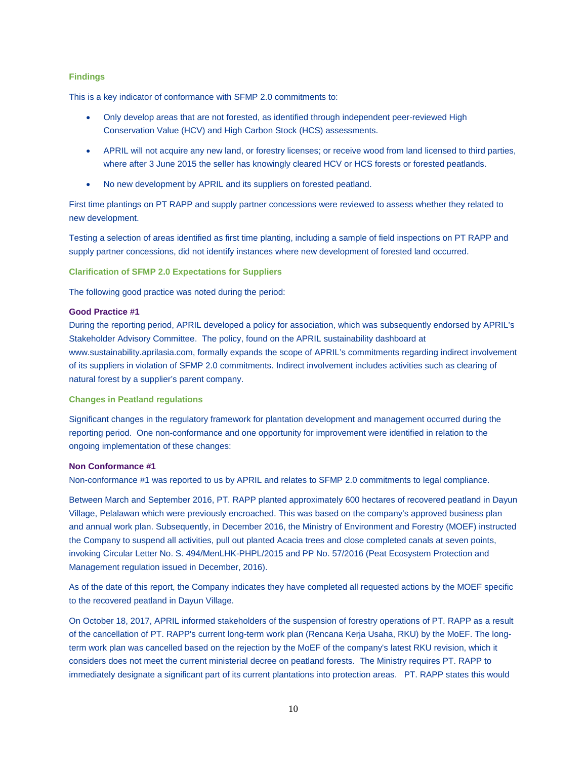#### **Findings**

This is a key indicator of conformance with SFMP 2.0 commitments to:

- Only develop areas that are not forested, as identified through independent peer-reviewed High Conservation Value (HCV) and High Carbon Stock (HCS) assessments.
- APRIL will not acquire any new land, or forestry licenses; or receive wood from land licensed to third parties, where after 3 June 2015 the seller has knowingly cleared HCV or HCS forests or forested peatlands.
- No new development by APRIL and its suppliers on forested peatland.

First time plantings on PT RAPP and supply partner concessions were reviewed to assess whether they related to new development.

Testing a selection of areas identified as first time planting, including a sample of field inspections on PT RAPP and supply partner concessions, did not identify instances where new development of forested land occurred.

**Clarification of SFMP 2.0 Expectations for Suppliers** 

The following good practice was noted during the period:

#### **Good Practice #1**

During the reporting period, APRIL developed a policy for association, which was subsequently endorsed by APRIL's Stakeholder Advisory Committee. The policy, found on the APRIL sustainability dashboard at www.sustainability.aprilasia.com, formally expands the scope of APRIL's commitments regarding indirect involvement of its suppliers in violation of SFMP 2.0 commitments. Indirect involvement includes activities such as clearing of natural forest by a supplier's parent company.

#### **Changes in Peatland regulations**

Significant changes in the regulatory framework for plantation development and management occurred during the reporting period. One non-conformance and one opportunity for improvement were identified in relation to the ongoing implementation of these changes:

#### **Non Conformance #1**

Non-conformance #1 was reported to us by APRIL and relates to SFMP 2.0 commitments to legal compliance.

Between March and September 2016, PT. RAPP planted approximately 600 hectares of recovered peatland in Dayun Village, Pelalawan which were previously encroached. This was based on the company's approved business plan and annual work plan. Subsequently, in December 2016, the Ministry of Environment and Forestry (MOEF) instructed the Company to suspend all activities, pull out planted Acacia trees and close completed canals at seven points, invoking Circular Letter No. S. 494/MenLHK-PHPL/2015 and PP No. 57/2016 (Peat Ecosystem Protection and Management regulation issued in December, 2016).

As of the date of this report, the Company indicates they have completed all requested actions by the MOEF specific to the recovered peatland in Dayun Village.

On October 18, 2017, APRIL informed stakeholders of the suspension of forestry operations of PT. RAPP as a result of the cancellation of PT. RAPP's current long-term work plan (Rencana Kerja Usaha, RKU) by the MoEF. The longterm work plan was cancelled based on the rejection by the MoEF of the company's latest RKU revision, which it considers does not meet the current ministerial decree on peatland forests. The Ministry requires PT. RAPP to immediately designate a significant part of its current plantations into protection areas. PT. RAPP states this would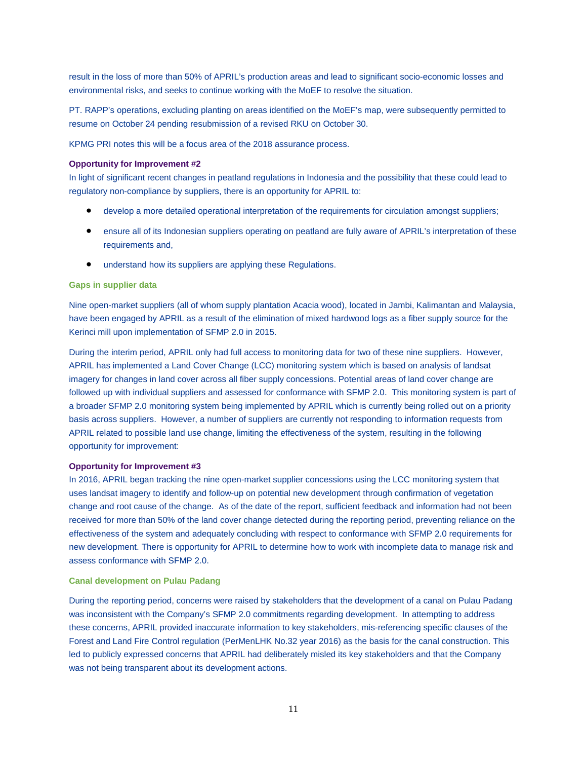result in the loss of more than 50% of APRIL's production areas and lead to significant socio-economic losses and environmental risks, and seeks to continue working with the MoEF to resolve the situation.

PT. RAPP's operations, excluding planting on areas identified on the MoEF's map, were subsequently permitted to resume on October 24 pending resubmission of a revised RKU on October 30.

KPMG PRI notes this will be a focus area of the 2018 assurance process.

#### **Opportunity for Improvement #2**

In light of significant recent changes in peatland regulations in Indonesia and the possibility that these could lead to regulatory non-compliance by suppliers, there is an opportunity for APRIL to:

- develop a more detailed operational interpretation of the requirements for circulation amongst suppliers;
- ensure all of its Indonesian suppliers operating on peatland are fully aware of APRIL's interpretation of these requirements and,
- understand how its suppliers are applying these Regulations.

#### **Gaps in supplier data**

Nine open-market suppliers (all of whom supply plantation Acacia wood), located in Jambi, Kalimantan and Malaysia, have been engaged by APRIL as a result of the elimination of mixed hardwood logs as a fiber supply source for the Kerinci mill upon implementation of SFMP 2.0 in 2015.

During the interim period, APRIL only had full access to monitoring data for two of these nine suppliers. However, APRIL has implemented a Land Cover Change (LCC) monitoring system which is based on analysis of landsat imagery for changes in land cover across all fiber supply concessions. Potential areas of land cover change are followed up with individual suppliers and assessed for conformance with SFMP 2.0. This monitoring system is part of a broader SFMP 2.0 monitoring system being implemented by APRIL which is currently being rolled out on a priority basis across suppliers. However, a number of suppliers are currently not responding to information requests from APRIL related to possible land use change, limiting the effectiveness of the system, resulting in the following opportunity for improvement:

#### **Opportunity for Improvement #3**

In 2016, APRIL began tracking the nine open-market supplier concessions using the LCC monitoring system that uses landsat imagery to identify and follow-up on potential new development through confirmation of vegetation change and root cause of the change. As of the date of the report, sufficient feedback and information had not been received for more than 50% of the land cover change detected during the reporting period, preventing reliance on the effectiveness of the system and adequately concluding with respect to conformance with SFMP 2.0 requirements for new development. There is opportunity for APRIL to determine how to work with incomplete data to manage risk and assess conformance with SFMP 2.0.

#### **Canal development on Pulau Padang**

During the reporting period, concerns were raised by stakeholders that the development of a canal on Pulau Padang was inconsistent with the Company's SFMP 2.0 commitments regarding development. In attempting to address these concerns, APRIL provided inaccurate information to key stakeholders, mis-referencing specific clauses of the Forest and Land Fire Control regulation (PerMenLHK No.32 year 2016) as the basis for the canal construction. This led to publicly expressed concerns that APRIL had deliberately misled its key stakeholders and that the Company was not being transparent about its development actions.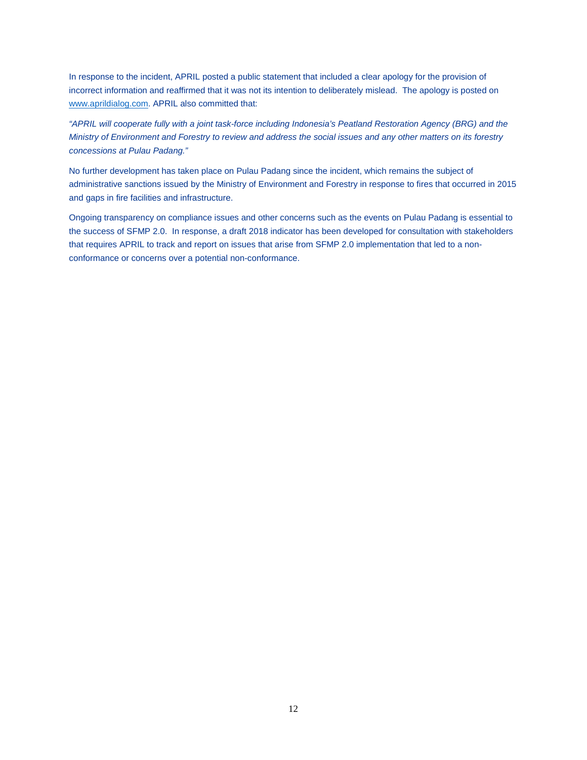In response to the incident, APRIL posted a public statement that included a clear apology for the provision of incorrect information and reaffirmed that it was not its intention to deliberately mislead. The apology is posted on [www.aprildialog.com.](http://www.aprildialog.com/) APRIL also committed that:

*"APRIL will cooperate fully with a joint task-force including Indonesia's Peatland Restoration Agency (BRG) and the Ministry of Environment and Forestry to review and address the social issues and any other matters on its forestry concessions at Pulau Padang."*

No further development has taken place on Pulau Padang since the incident, which remains the subject of administrative sanctions issued by the Ministry of Environment and Forestry in response to fires that occurred in 2015 and gaps in fire facilities and infrastructure.

Ongoing transparency on compliance issues and other concerns such as the events on Pulau Padang is essential to the success of SFMP 2.0. In response, a draft 2018 indicator has been developed for consultation with stakeholders that requires APRIL to track and report on issues that arise from SFMP 2.0 implementation that led to a nonconformance or concerns over a potential non-conformance.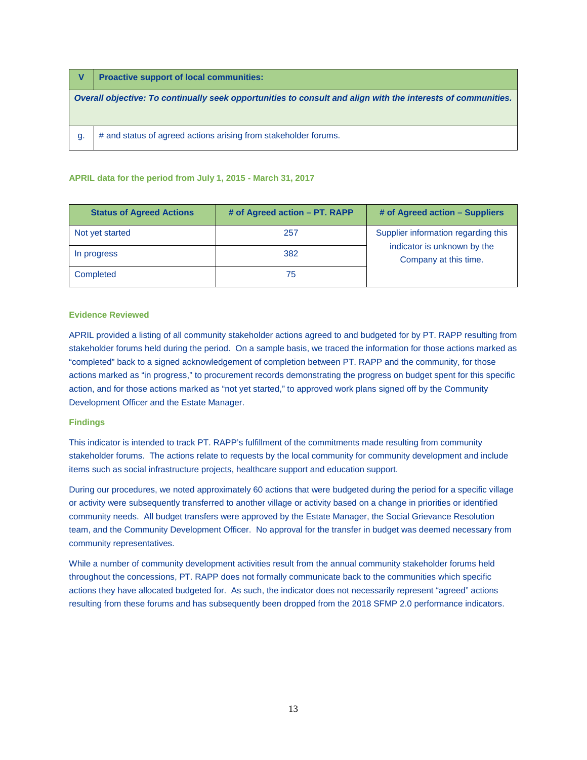| l V | <b>Proactive support of local communities:</b>                                                               |
|-----|--------------------------------------------------------------------------------------------------------------|
|     | Overall objective: To continually seek opportunities to consult and align with the interests of communities. |
|     |                                                                                                              |
| g.  | # and status of agreed actions arising from stakeholder forums.                                              |

#### **APRIL data for the period from July 1, 2015 - March 31, 2017**

| <b>Status of Agreed Actions</b> | # of Agreed action - PT. RAPP | # of Agreed action – Suppliers                       |
|---------------------------------|-------------------------------|------------------------------------------------------|
| Not yet started                 | 257                           | Supplier information regarding this                  |
| In progress                     | 382                           | indicator is unknown by the<br>Company at this time. |
| Completed                       | 75                            |                                                      |

#### **Evidence Reviewed**

APRIL provided a listing of all community stakeholder actions agreed to and budgeted for by PT. RAPP resulting from stakeholder forums held during the period. On a sample basis, we traced the information for those actions marked as "completed" back to a signed acknowledgement of completion between PT. RAPP and the community, for those actions marked as "in progress," to procurement records demonstrating the progress on budget spent for this specific action, and for those actions marked as "not yet started," to approved work plans signed off by the Community Development Officer and the Estate Manager.

#### **Findings**

This indicator is intended to track PT. RAPP's fulfillment of the commitments made resulting from community stakeholder forums. The actions relate to requests by the local community for community development and include items such as social infrastructure projects, healthcare support and education support.

During our procedures, we noted approximately 60 actions that were budgeted during the period for a specific village or activity were subsequently transferred to another village or activity based on a change in priorities or identified community needs. All budget transfers were approved by the Estate Manager, the Social Grievance Resolution team, and the Community Development Officer. No approval for the transfer in budget was deemed necessary from community representatives.

While a number of community development activities result from the annual community stakeholder forums held throughout the concessions, PT. RAPP does not formally communicate back to the communities which specific actions they have allocated budgeted for. As such, the indicator does not necessarily represent "agreed" actions resulting from these forums and has subsequently been dropped from the 2018 SFMP 2.0 performance indicators.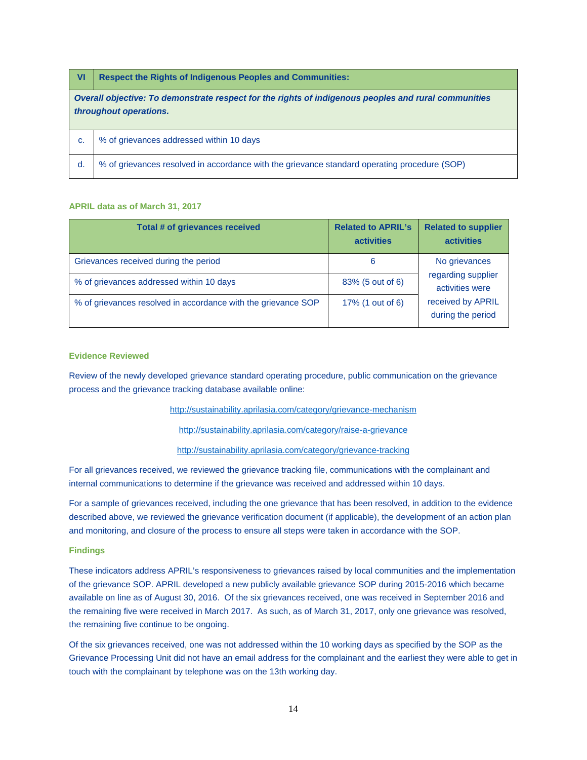| <b>VI</b> | <b>Respect the Rights of Indigenous Peoples and Communities:</b>                                                               |
|-----------|--------------------------------------------------------------------------------------------------------------------------------|
|           | Overall objective: To demonstrate respect for the rights of indigenous peoples and rural communities<br>throughout operations. |
| c.        | % of grievances addressed within 10 days                                                                                       |
| d.        | % of grievances resolved in accordance with the grievance standard operating procedure (SOP)                                   |

#### **APRIL data as of March 31, 2017**

| Total # of grievances received                                | <b>Related to APRIL's</b><br>activities | <b>Related to supplier</b><br><b>activities</b> |
|---------------------------------------------------------------|-----------------------------------------|-------------------------------------------------|
| Grievances received during the period                         | 6                                       | No grievances                                   |
| % of grievances addressed within 10 days                      | 83% (5 out of 6)                        | regarding supplier<br>activities were           |
| % of grievances resolved in accordance with the grievance SOP | 17% (1 out of 6)                        | received by APRIL<br>during the period          |

#### **Evidence Reviewed**

Review of the newly developed grievance standard operating procedure, public communication on the grievance process and the grievance tracking database available online:

<http://sustainability.aprilasia.com/category/grievance-mechanism>

<http://sustainability.aprilasia.com/category/raise-a-grievance>

<http://sustainability.aprilasia.com/category/grievance-tracking>

For all grievances received, we reviewed the grievance tracking file, communications with the complainant and internal communications to determine if the grievance was received and addressed within 10 days.

For a sample of grievances received, including the one grievance that has been resolved, in addition to the evidence described above, we reviewed the grievance verification document (if applicable), the development of an action plan and monitoring, and closure of the process to ensure all steps were taken in accordance with the SOP.

#### **Findings**

These indicators address APRIL's responsiveness to grievances raised by local communities and the implementation of the grievance SOP. APRIL developed a new publicly available grievance SOP during 2015-2016 which became available on line as of August 30, 2016. Of the six grievances received, one was received in September 2016 and the remaining five were received in March 2017. As such, as of March 31, 2017, only one grievance was resolved, the remaining five continue to be ongoing.

Of the six grievances received, one was not addressed within the 10 working days as specified by the SOP as the Grievance Processing Unit did not have an email address for the complainant and the earliest they were able to get in touch with the complainant by telephone was on the 13th working day.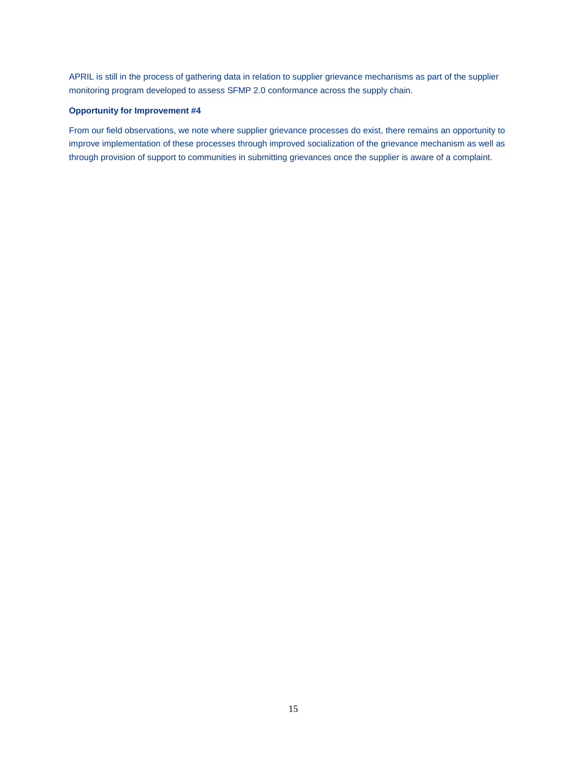APRIL is still in the process of gathering data in relation to supplier grievance mechanisms as part of the supplier monitoring program developed to assess SFMP 2.0 conformance across the supply chain.

# **Opportunity for Improvement #4**

From our field observations, we note where supplier grievance processes do exist, there remains an opportunity to improve implementation of these processes through improved socialization of the grievance mechanism as well as through provision of support to communities in submitting grievances once the supplier is aware of a complaint.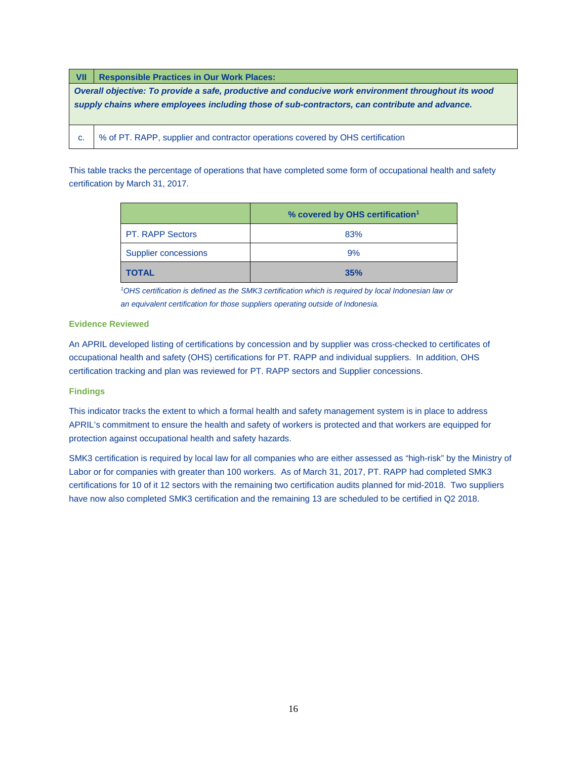**VII Responsible Practices in Our Work Places:** *Overall objective: To provide a safe, productive and conducive work environment throughout its wood* 

*supply chains where employees including those of sub-contractors, can contribute and advance.*

c. | % of PT. RAPP, supplier and contractor operations covered by OHS certification

This table tracks the percentage of operations that have completed some form of occupational health and safety certification by March 31, 2017.

|                             | % covered by OHS certification <sup>1</sup> |
|-----------------------------|---------------------------------------------|
| <b>PT. RAPP Sectors</b>     | 83%                                         |
| <b>Supplier concessions</b> | 9%                                          |
| <b>TOTAL</b>                | 35%                                         |

*1 OHS certification is defined as the SMK3 certification which is required by local Indonesian law or an equivalent certification for those suppliers operating outside of Indonesia.*

#### **Evidence Reviewed**

An APRIL developed listing of certifications by concession and by supplier was cross-checked to certificates of occupational health and safety (OHS) certifications for PT. RAPP and individual suppliers. In addition, OHS certification tracking and plan was reviewed for PT. RAPP sectors and Supplier concessions.

### **Findings**

This indicator tracks the extent to which a formal health and safety management system is in place to address APRIL's commitment to ensure the health and safety of workers is protected and that workers are equipped for protection against occupational health and safety hazards.

SMK3 certification is required by local law for all companies who are either assessed as "high-risk" by the Ministry of Labor or for companies with greater than 100 workers. As of March 31, 2017, PT. RAPP had completed SMK3 certifications for 10 of it 12 sectors with the remaining two certification audits planned for mid-2018. Two suppliers have now also completed SMK3 certification and the remaining 13 are scheduled to be certified in Q2 2018.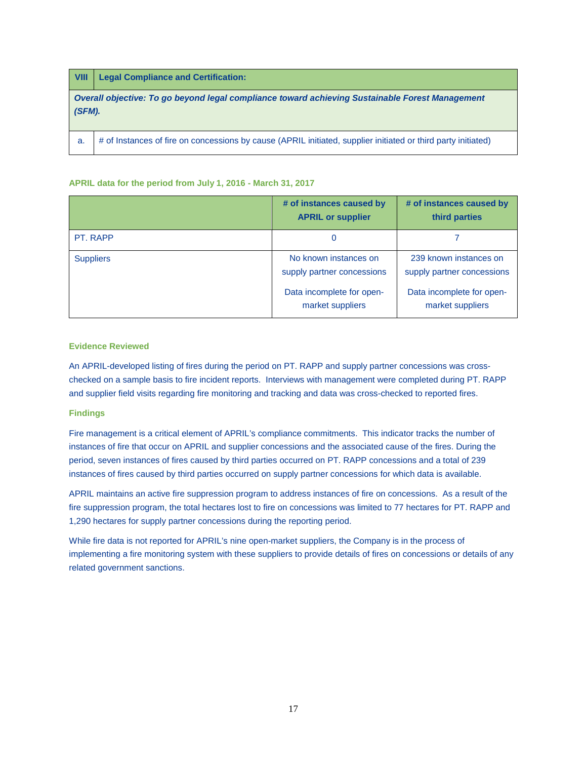#### **VIII Legal Compliance and Certification:**

*Overall objective: To go beyond legal compliance toward achieving Sustainable Forest Management (SFM).*

a. # of Instances of fire on concessions by cause (APRIL initiated, supplier initiated or third party initiated)

#### **APRIL data for the period from July 1, 2016 - March 31, 2017**

|                  | # of instances caused by<br><b>APRIL or supplier</b>                                                 | # of instances caused by<br>third parties                                                             |
|------------------|------------------------------------------------------------------------------------------------------|-------------------------------------------------------------------------------------------------------|
| PT. RAPP         | 0                                                                                                    |                                                                                                       |
| <b>Suppliers</b> | No known instances on<br>supply partner concessions<br>Data incomplete for open-<br>market suppliers | 239 known instances on<br>supply partner concessions<br>Data incomplete for open-<br>market suppliers |

#### **Evidence Reviewed**

An APRIL-developed listing of fires during the period on PT. RAPP and supply partner concessions was crosschecked on a sample basis to fire incident reports. Interviews with management were completed during PT. RAPP and supplier field visits regarding fire monitoring and tracking and data was cross-checked to reported fires.

#### **Findings**

Fire management is a critical element of APRIL's compliance commitments. This indicator tracks the number of instances of fire that occur on APRIL and supplier concessions and the associated cause of the fires. During the period, seven instances of fires caused by third parties occurred on PT. RAPP concessions and a total of 239 instances of fires caused by third parties occurred on supply partner concessions for which data is available.

APRIL maintains an active fire suppression program to address instances of fire on concessions. As a result of the fire suppression program, the total hectares lost to fire on concessions was limited to 77 hectares for PT. RAPP and 1,290 hectares for supply partner concessions during the reporting period.

While fire data is not reported for APRIL's nine open-market suppliers, the Company is in the process of implementing a fire monitoring system with these suppliers to provide details of fires on concessions or details of any related government sanctions.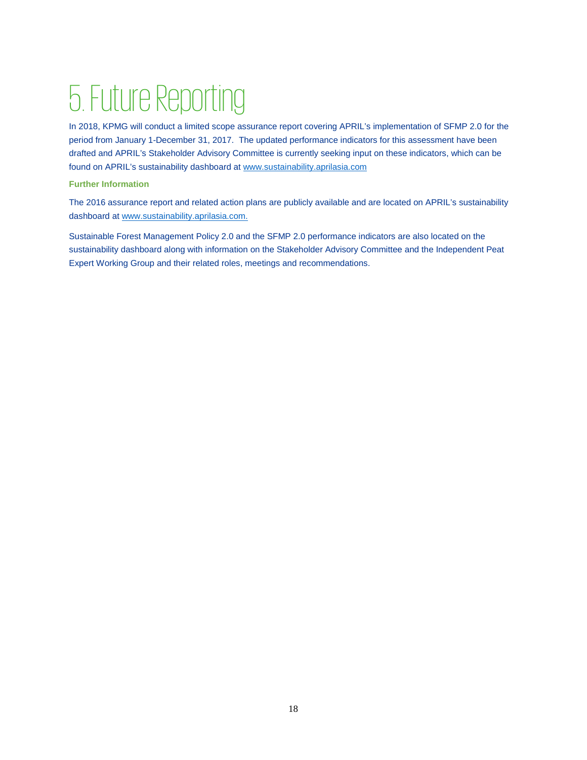# <span id="page-17-0"></span>5. Future Reporting

In 2018, KPMG will conduct a limited scope assurance report covering APRIL's implementation of SFMP 2.0 for the period from January 1-December 31, 2017. The updated performance indicators for this assessment have been drafted and APRIL's Stakeholder Advisory Committee is currently seeking input on these indicators, which can be found on APRIL's sustainability dashboard a[t www.sustainability.aprilasia.com](http://www.sustainability.aprilasia.com/)

# **Further Information**

The 2016 assurance report and related action plans are publicly available and are located on APRIL's sustainability dashboard at [www.sustainability.aprilasia.com.](http://www.sustainability.aprilasia.com/)

Sustainable Forest Management Policy 2.0 and the SFMP 2.0 performance indicators are also located on the sustainability dashboard along with information on the Stakeholder Advisory Committee and the Independent Peat Expert Working Group and their related roles, meetings and recommendations.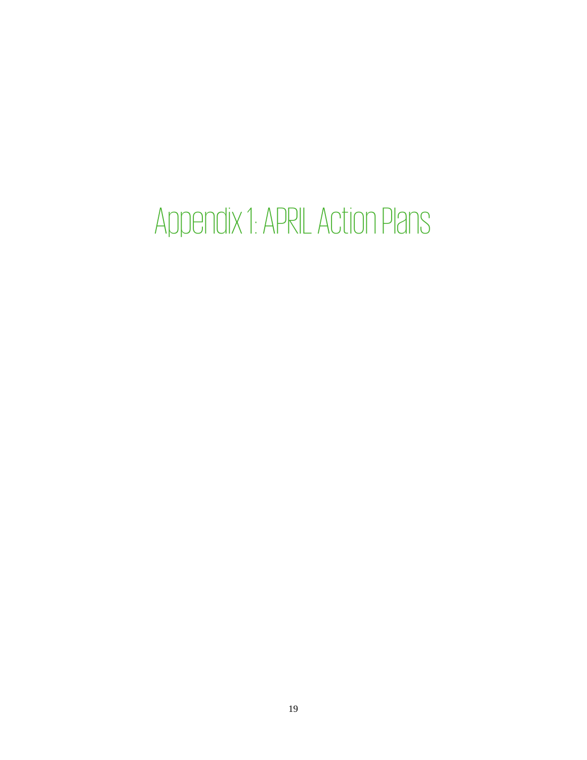# <span id="page-18-0"></span>Appendix 1: APRIL Action Plans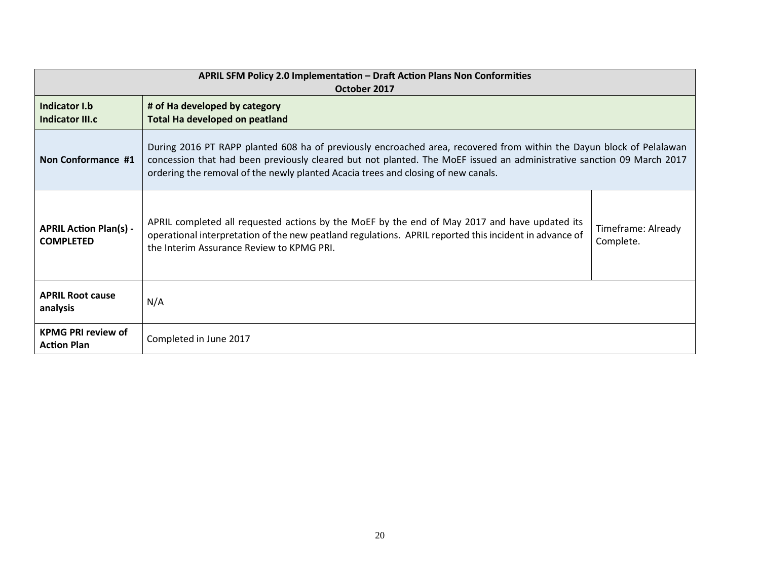| <b>APRIL SFM Policy 2.0 Implementation - Draft Action Plans Non Conformities</b><br>October 2017                                                                                                                                                                                                                                                         |                                                                                                                                                                                                                                                      |                                 |  |
|----------------------------------------------------------------------------------------------------------------------------------------------------------------------------------------------------------------------------------------------------------------------------------------------------------------------------------------------------------|------------------------------------------------------------------------------------------------------------------------------------------------------------------------------------------------------------------------------------------------------|---------------------------------|--|
| Indicator I.b<br>Indicator III.c                                                                                                                                                                                                                                                                                                                         | # of Ha developed by category<br>Total Ha developed on peatland                                                                                                                                                                                      |                                 |  |
| During 2016 PT RAPP planted 608 ha of previously encroached area, recovered from within the Dayun block of Pelalawan<br>concession that had been previously cleared but not planted. The MoEF issued an administrative sanction 09 March 2017<br>Non Conformance #1<br>ordering the removal of the newly planted Acacia trees and closing of new canals. |                                                                                                                                                                                                                                                      |                                 |  |
| <b>APRIL Action Plan(s) -</b><br><b>COMPLETED</b>                                                                                                                                                                                                                                                                                                        | APRIL completed all requested actions by the MoEF by the end of May 2017 and have updated its<br>operational interpretation of the new peatland regulations. APRIL reported this incident in advance of<br>the Interim Assurance Review to KPMG PRI. | Timeframe: Already<br>Complete. |  |
| <b>APRIL Root cause</b><br>analysis                                                                                                                                                                                                                                                                                                                      | N/A                                                                                                                                                                                                                                                  |                                 |  |
| <b>KPMG PRI review of</b><br><b>Action Plan</b>                                                                                                                                                                                                                                                                                                          | Completed in June 2017                                                                                                                                                                                                                               |                                 |  |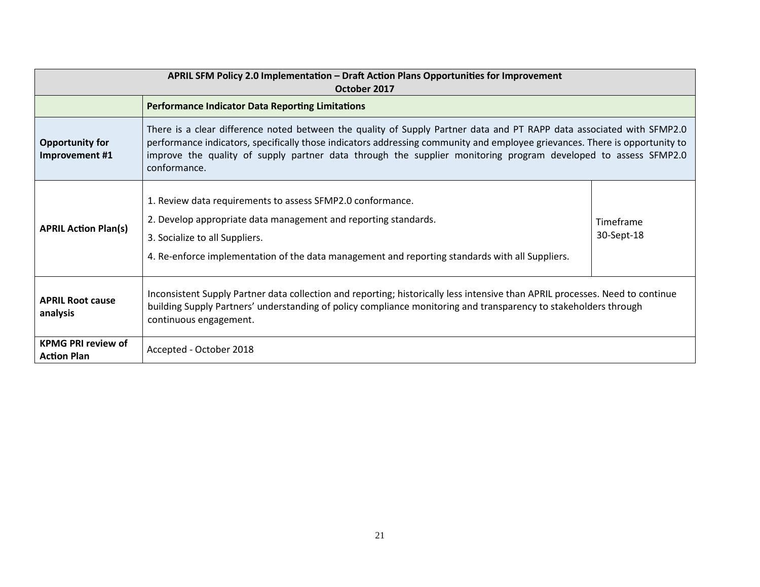| APRIL SFM Policy 2.0 Implementation - Draft Action Plans Opportunities for Improvement<br>October 2017                                                                                                                                                                                                                                                                                                                             |                                                                                                                                                                                                                                                                    |                         |  |
|------------------------------------------------------------------------------------------------------------------------------------------------------------------------------------------------------------------------------------------------------------------------------------------------------------------------------------------------------------------------------------------------------------------------------------|--------------------------------------------------------------------------------------------------------------------------------------------------------------------------------------------------------------------------------------------------------------------|-------------------------|--|
|                                                                                                                                                                                                                                                                                                                                                                                                                                    | <b>Performance Indicator Data Reporting Limitations</b>                                                                                                                                                                                                            |                         |  |
| There is a clear difference noted between the quality of Supply Partner data and PT RAPP data associated with SFMP2.0<br><b>Opportunity for</b><br>performance indicators, specifically those indicators addressing community and employee grievances. There is opportunity to<br>improve the quality of supply partner data through the supplier monitoring program developed to assess SFMP2.0<br>Improvement #1<br>conformance. |                                                                                                                                                                                                                                                                    |                         |  |
| <b>APRIL Action Plan(s)</b>                                                                                                                                                                                                                                                                                                                                                                                                        | 1. Review data requirements to assess SFMP2.0 conformance.<br>2. Develop appropriate data management and reporting standards.<br>3. Socialize to all Suppliers.<br>4. Re-enforce implementation of the data management and reporting standards with all Suppliers. | Timeframe<br>30-Sept-18 |  |
| Inconsistent Supply Partner data collection and reporting; historically less intensive than APRIL processes. Need to continue<br><b>APRIL Root cause</b><br>building Supply Partners' understanding of policy compliance monitoring and transparency to stakeholders through<br>analysis<br>continuous engagement.                                                                                                                 |                                                                                                                                                                                                                                                                    |                         |  |
| <b>KPMG PRI review of</b><br><b>Action Plan</b>                                                                                                                                                                                                                                                                                                                                                                                    | Accepted - October 2018                                                                                                                                                                                                                                            |                         |  |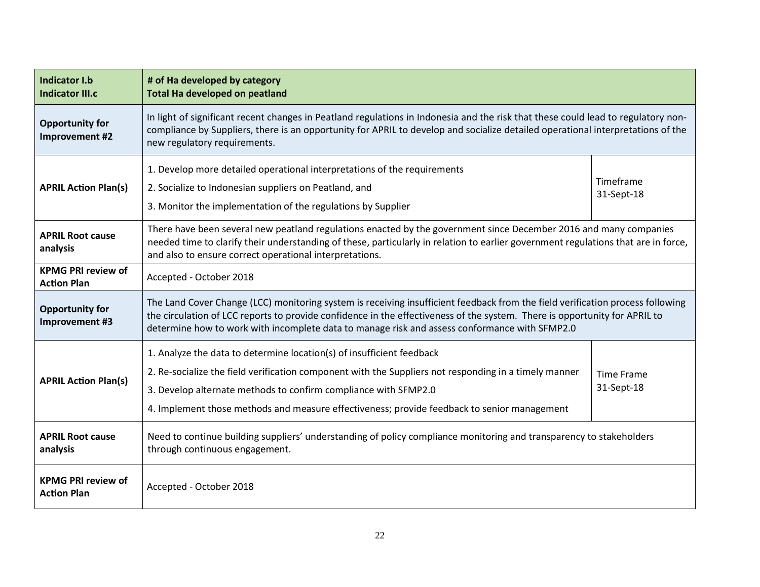| <b>Indicator I.b</b><br><b>Indicator III.c</b>  | # of Ha developed by category<br>Total Ha developed on peatland                                                                                                                                                                                                                                                                                               |                                 |  |
|-------------------------------------------------|---------------------------------------------------------------------------------------------------------------------------------------------------------------------------------------------------------------------------------------------------------------------------------------------------------------------------------------------------------------|---------------------------------|--|
| <b>Opportunity for</b><br>Improvement #2        | In light of significant recent changes in Peatland regulations in Indonesia and the risk that these could lead to regulatory non-<br>compliance by Suppliers, there is an opportunity for APRIL to develop and socialize detailed operational interpretations of the<br>new regulatory requirements.                                                          |                                 |  |
| <b>APRIL Action Plan(s)</b>                     | 1. Develop more detailed operational interpretations of the requirements<br>2. Socialize to Indonesian suppliers on Peatland, and<br>3. Monitor the implementation of the regulations by Supplier                                                                                                                                                             | Timeframe<br>31-Sept-18         |  |
| <b>APRIL Root cause</b><br>analysis             | There have been several new peatland regulations enacted by the government since December 2016 and many companies<br>needed time to clarify their understanding of these, particularly in relation to earlier government regulations that are in force,<br>and also to ensure correct operational interpretations.                                            |                                 |  |
| <b>KPMG PRI review of</b><br><b>Action Plan</b> | Accepted - October 2018                                                                                                                                                                                                                                                                                                                                       |                                 |  |
| <b>Opportunity for</b><br>Improvement #3        | The Land Cover Change (LCC) monitoring system is receiving insufficient feedback from the field verification process following<br>the circulation of LCC reports to provide confidence in the effectiveness of the system. There is opportunity for APRIL to<br>determine how to work with incomplete data to manage risk and assess conformance with SFMP2.0 |                                 |  |
| <b>APRIL Action Plan(s)</b>                     | 1. Analyze the data to determine location(s) of insufficient feedback<br>2. Re-socialize the field verification component with the Suppliers not responding in a timely manner<br>3. Develop alternate methods to confirm compliance with SFMP2.0<br>4. Implement those methods and measure effectiveness; provide feedback to senior management              | <b>Time Frame</b><br>31-Sept-18 |  |
| <b>APRIL Root cause</b><br>analysis             | Need to continue building suppliers' understanding of policy compliance monitoring and transparency to stakeholders<br>through continuous engagement.                                                                                                                                                                                                         |                                 |  |
| <b>KPMG PRI review of</b><br><b>Action Plan</b> | Accepted - October 2018                                                                                                                                                                                                                                                                                                                                       |                                 |  |